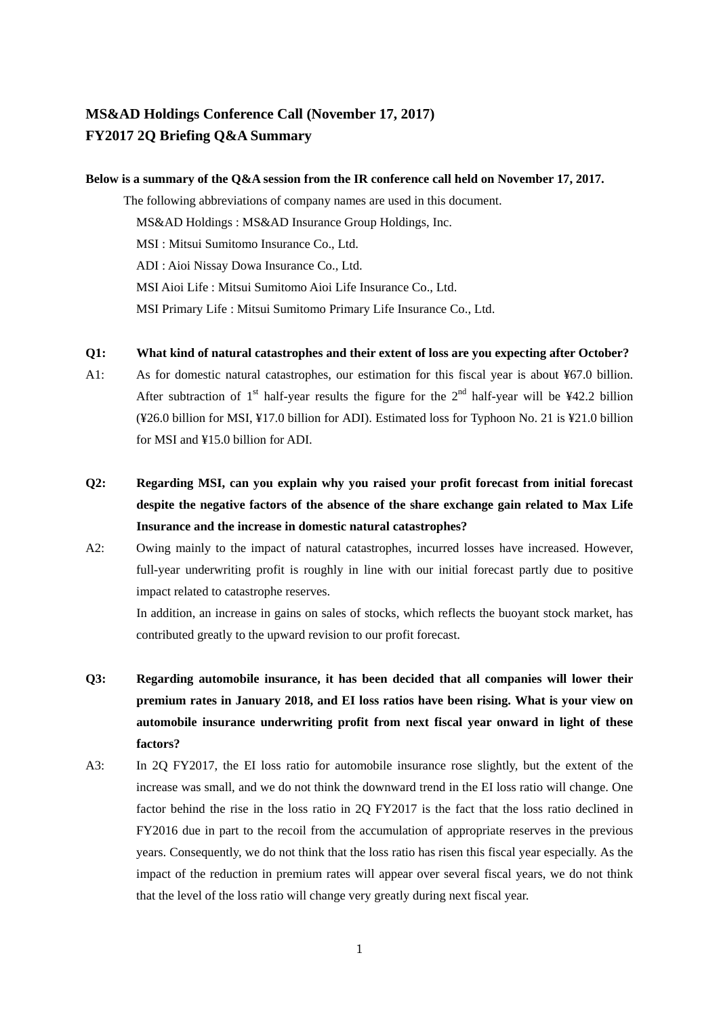# **MS&AD Holdings Conference Call (November 17, 2017) FY2017 2Q Briefing Q&A Summary**

#### **Below is a summary of the Q&A session from the IR conference call held on November 17, 2017.**

The following abbreviations of company names are used in this document. MS&AD Holdings : MS&AD Insurance Group Holdings, Inc. MSI : Mitsui Sumitomo Insurance Co., Ltd. ADI : Aioi Nissay Dowa Insurance Co., Ltd. MSI Aioi Life : Mitsui Sumitomo Aioi Life Insurance Co., Ltd. MSI Primary Life : Mitsui Sumitomo Primary Life Insurance Co., Ltd.

#### **Q1: What kind of natural catastrophes and their extent of loss are you expecting after October?**

- A1: As for domestic natural catastrophes, our estimation for this fiscal year is about ¥67.0 billion. After subtraction of  $1<sup>st</sup>$  half-year results the figure for the  $2<sup>nd</sup>$  half-year will be ¥42.2 billion (¥26.0 billion for MSI, ¥17.0 billion for ADI). Estimated loss for Typhoon No. 21 is ¥21.0 billion for MSI and ¥15.0 billion for ADI.
- **Q2: Regarding MSI, can you explain why you raised your profit forecast from initial forecast despite the negative factors of the absence of the share exchange gain related to Max Life Insurance and the increase in domestic natural catastrophes?**
- A2: Owing mainly to the impact of natural catastrophes, incurred losses have increased. However, full-year underwriting profit is roughly in line with our initial forecast partly due to positive impact related to catastrophe reserves.

In addition, an increase in gains on sales of stocks, which reflects the buoyant stock market, has contributed greatly to the upward revision to our profit forecast.

- **Q3: Regarding automobile insurance, it has been decided that all companies will lower their premium rates in January 2018, and EI loss ratios have been rising. What is your view on automobile insurance underwriting profit from next fiscal year onward in light of these factors?**
- A3: In 2Q FY2017, the EI loss ratio for automobile insurance rose slightly, but the extent of the increase was small, and we do not think the downward trend in the EI loss ratio will change. One factor behind the rise in the loss ratio in 2Q FY2017 is the fact that the loss ratio declined in FY2016 due in part to the recoil from the accumulation of appropriate reserves in the previous years. Consequently, we do not think that the loss ratio has risen this fiscal year especially. As the impact of the reduction in premium rates will appear over several fiscal years, we do not think that the level of the loss ratio will change very greatly during next fiscal year.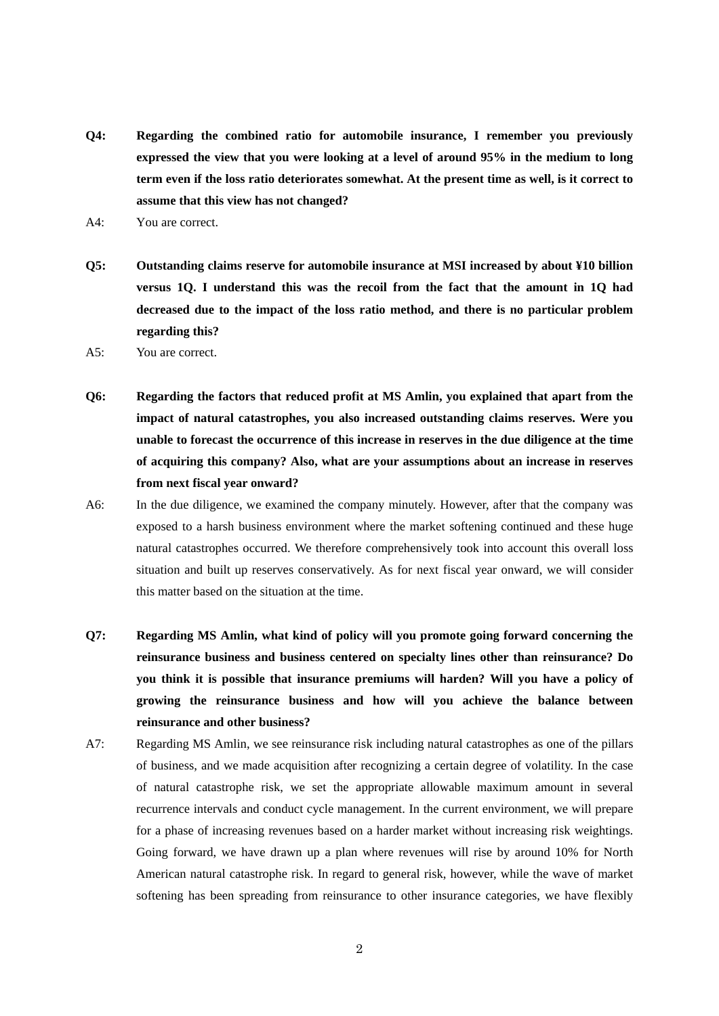- **Q4: Regarding the combined ratio for automobile insurance, I remember you previously expressed the view that you were looking at a level of around 95% in the medium to long term even if the loss ratio deteriorates somewhat. At the present time as well, is it correct to assume that this view has not changed?**
- A4: You are correct.
- **Q5: Outstanding claims reserve for automobile insurance at MSI increased by about ¥10 billion versus 1Q. I understand this was the recoil from the fact that the amount in 1Q had decreased due to the impact of the loss ratio method, and there is no particular problem regarding this?**
- A5: You are correct.
- **Q6: Regarding the factors that reduced profit at MS Amlin, you explained that apart from the impact of natural catastrophes, you also increased outstanding claims reserves. Were you unable to forecast the occurrence of this increase in reserves in the due diligence at the time of acquiring this company? Also, what are your assumptions about an increase in reserves from next fiscal year onward?**
- A6: In the due diligence, we examined the company minutely. However, after that the company was exposed to a harsh business environment where the market softening continued and these huge natural catastrophes occurred. We therefore comprehensively took into account this overall loss situation and built up reserves conservatively. As for next fiscal year onward, we will consider this matter based on the situation at the time.
- **Q7: Regarding MS Amlin, what kind of policy will you promote going forward concerning the reinsurance business and business centered on specialty lines other than reinsurance? Do you think it is possible that insurance premiums will harden? Will you have a policy of growing the reinsurance business and how will you achieve the balance between reinsurance and other business?**
- A7: Regarding MS Amlin, we see reinsurance risk including natural catastrophes as one of the pillars of business, and we made acquisition after recognizing a certain degree of volatility. In the case of natural catastrophe risk, we set the appropriate allowable maximum amount in several recurrence intervals and conduct cycle management. In the current environment, we will prepare for a phase of increasing revenues based on a harder market without increasing risk weightings. Going forward, we have drawn up a plan where revenues will rise by around 10% for North American natural catastrophe risk. In regard to general risk, however, while the wave of market softening has been spreading from reinsurance to other insurance categories, we have flexibly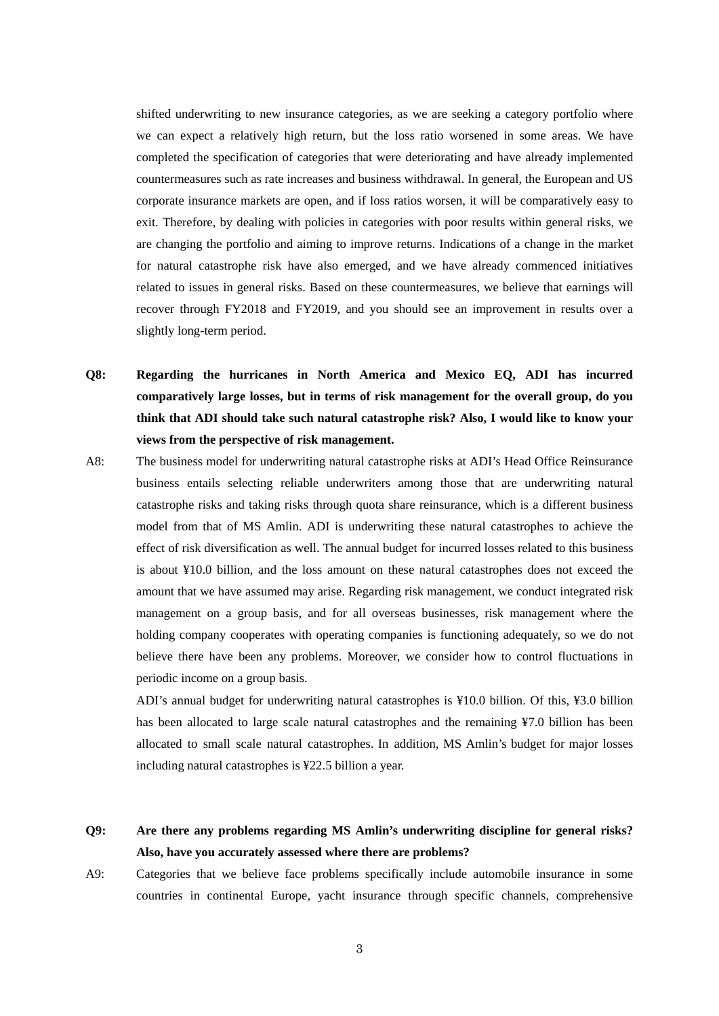shifted underwriting to new insurance categories, as we are seeking a category portfolio where we can expect a relatively high return, but the loss ratio worsened in some areas. We have completed the specification of categories that were deteriorating and have already implemented countermeasures such as rate increases and business withdrawal. In general, the European and US corporate insurance markets are open, and if loss ratios worsen, it will be comparatively easy to exit. Therefore, by dealing with policies in categories with poor results within general risks, we are changing the portfolio and aiming to improve returns. Indications of a change in the market for natural catastrophe risk have also emerged, and we have already commenced initiatives related to issues in general risks. Based on these countermeasures, we believe that earnings will recover through FY2018 and FY2019, and you should see an improvement in results over a slightly long-term period.

- **Q8: Regarding the hurricanes in North America and Mexico EQ, ADI has incurred comparatively large losses, but in terms of risk management for the overall group, do you think that ADI should take such natural catastrophe risk? Also, I would like to know your views from the perspective of risk management.**
- A8: The business model for underwriting natural catastrophe risks at ADI's Head Office Reinsurance business entails selecting reliable underwriters among those that are underwriting natural catastrophe risks and taking risks through quota share reinsurance, which is a different business model from that of MS Amlin. ADI is underwriting these natural catastrophes to achieve the effect of risk diversification as well. The annual budget for incurred losses related to this business is about ¥10.0 billion, and the loss amount on these natural catastrophes does not exceed the amount that we have assumed may arise. Regarding risk management, we conduct integrated risk management on a group basis, and for all overseas businesses, risk management where the holding company cooperates with operating companies is functioning adequately, so we do not believe there have been any problems. Moreover, we consider how to control fluctuations in periodic income on a group basis.

ADI's annual budget for underwriting natural catastrophes is ¥10.0 billion. Of this, ¥3.0 billion has been allocated to large scale natural catastrophes and the remaining ¥7.0 billion has been allocated to small scale natural catastrophes. In addition, MS Amlin's budget for major losses including natural catastrophes is ¥22.5 billion a year.

- **Q9: Are there any problems regarding MS Amlin's underwriting discipline for general risks? Also, have you accurately assessed where there are problems?**
- A9: Categories that we believe face problems specifically include automobile insurance in some countries in continental Europe, yacht insurance through specific channels, comprehensive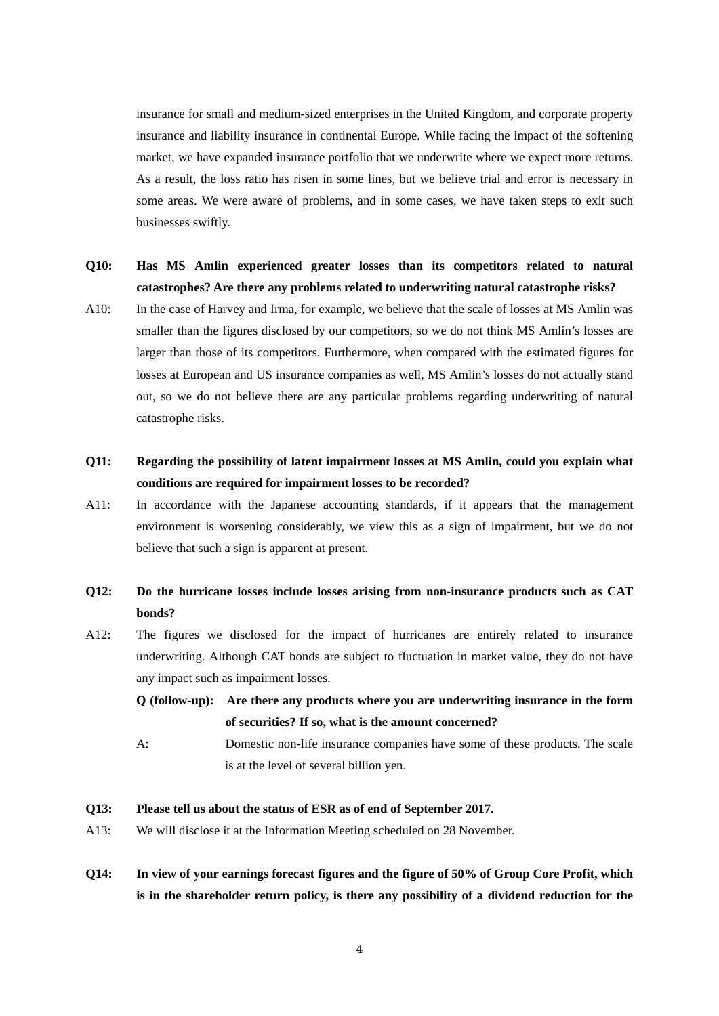insurance for small and medium-sized enterprises in the United Kingdom, and corporate property insurance and liability insurance in continental Europe. While facing the impact of the softening market, we have expanded insurance portfolio that we underwrite where we expect more returns. As a result, the loss ratio has risen in some lines, but we believe trial and error is necessary in some areas. We were aware of problems, and in some cases, we have taken steps to exit such businesses swiftly.

### **Q10: Has MS Amlin experienced greater losses than its competitors related to natural catastrophes? Are there any problems related to underwriting natural catastrophe risks?**

A10: In the case of Harvey and Irma, for example, we believe that the scale of losses at MS Amlin was smaller than the figures disclosed by our competitors, so we do not think MS Amlin's losses are larger than those of its competitors. Furthermore, when compared with the estimated figures for losses at European and US insurance companies as well, MS Amlin's losses do not actually stand out, so we do not believe there are any particular problems regarding underwriting of natural catastrophe risks.

## **Q11: Regarding the possibility of latent impairment losses at MS Amlin, could you explain what conditions are required for impairment losses to be recorded?**

A11: In accordance with the Japanese accounting standards, if it appears that the management environment is worsening considerably, we view this as a sign of impairment, but we do not believe that such a sign is apparent at present.

### **Q12: Do the hurricane losses include losses arising from non-insurance products such as CAT bonds?**

A12: The figures we disclosed for the impact of hurricanes are entirely related to insurance underwriting. Although CAT bonds are subject to fluctuation in market value, they do not have any impact such as impairment losses.

**Q (follow-up): Are there any products where you are underwriting insurance in the form of securities? If so, what is the amount concerned?** 

A: Domestic non-life insurance companies have some of these products. The scale is at the level of several billion yen.

#### **Q13: Please tell us about the status of ESR as of end of September 2017.**

- A13: We will disclose it at the Information Meeting scheduled on 28 November.
- **Q14: In view of your earnings forecast figures and the figure of 50% of Group Core Profit, which is in the shareholder return policy, is there any possibility of a dividend reduction for the**